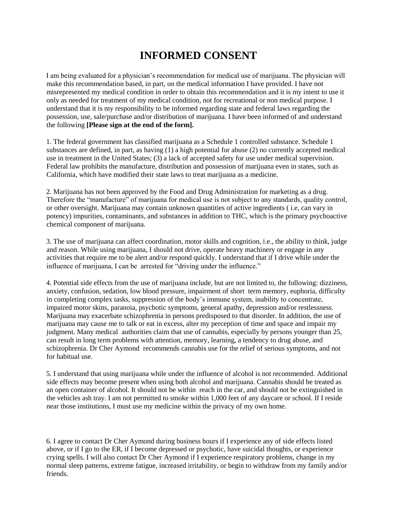## **INFORMED CONSENT**

I am being evaluated for a physician's recommendation for medical use of marijuana. The physician will make this recommendation based, in part, on the medical information I have provided. I have not misrepresented my medical condition in order to obtain this recommendation and it is my intent to use it only as needed for treatment of my medical condition, not for recreational or non medical purpose. I understand that it is my responsibility to be informed regarding state and federal laws regarding the possession, use, sale/purchase and/or distribution of marijuana. I have been informed of and understand the following **[Please sign at the end of the form].** 

1. The federal government has classified marijuana as a Schedule 1 controlled substance. Schedule 1 substances are defined, in part, as having (1) a high potential for abuse (2) no currently accepted medical use in treatment in the United States; (3) a lack of accepted safety for use under medical supervision. Federal law prohibits the manufacture, distribution and possession of marijuana even in states, such as California, which have modified their state laws to treat marijuana as a medicine.

2. Marijuana has not been approved by the Food and Drug Administration for marketing as a drug. Therefore the "manufacture" of marijuana for medical use is not subject to any standards, quality control, or other oversight. Marijuana may contain unknown quantities of active ingredients ( i.e, can vary in potency) impurities, contaminants, and substances in addition to THC, which is the primary psychoactive chemical component of marijuana.

3. The use of marijuana can affect coordination, motor skills and cognition, i.e., the ability to think, judge and reason. While using marijuana, I should not drive, operate heavy machinery or engage in any activities that require me to be alert and/or respond quickly. I understand that if I drive while under the influence of marijuana, I can be arrested for "driving under the influence."

4. Potential side effects from the use of marijuana include, but are not limited to, the following: dizziness, anxiety, confusion, sedation, low blood pressure, impairment of short term memory, euphoria, difficulty in completing complex tasks, suppression of the body's immune system, inability to concentrate, impaired motor skins, paranoia, psychotic symptoms, general apathy, depression and/or restlessness. Marijuana may exacerbate schizophrenia in persons predisposed to that disorder. In addition, the use of marijuana may cause me to talk or eat in excess, alter my perception of time and space and impair my judgment. Many medical authorities claim that use of cannabis, especially by persons younger than 25, can result in long term problems with attention, memory, learning, a tendency to drug abuse, and schizophrenia. Dr Cher Aymond recommends cannabis use for the relief of serious symptoms, and not for habitual use.

5. I understand that using marijuana while under the influence of alcohol is not recommended. Additional side effects may become present when using both alcohol and marijuana. Cannabis should be treated as an open container of alcohol. It should not be within reach in the car, and should not be extinguished in the vehicles ash tray. I am not permitted to smoke within 1,000 feet of any daycare or school. If I reside near those institutions, I must use my medicine within the privacy of my own home.

6. I agree to contact Dr Cher Aymond during business hours if I experience any of side effects listed above, or if I go to the ER, if I become depressed or psychotic, have suicidal thoughts, or experience crying spells. I will also contact Dr Cher Aymond if I experience respiratory problems, change in my normal sleep patterns, extreme fatigue, increased irritability, or begin to withdraw from my family and/or friends.